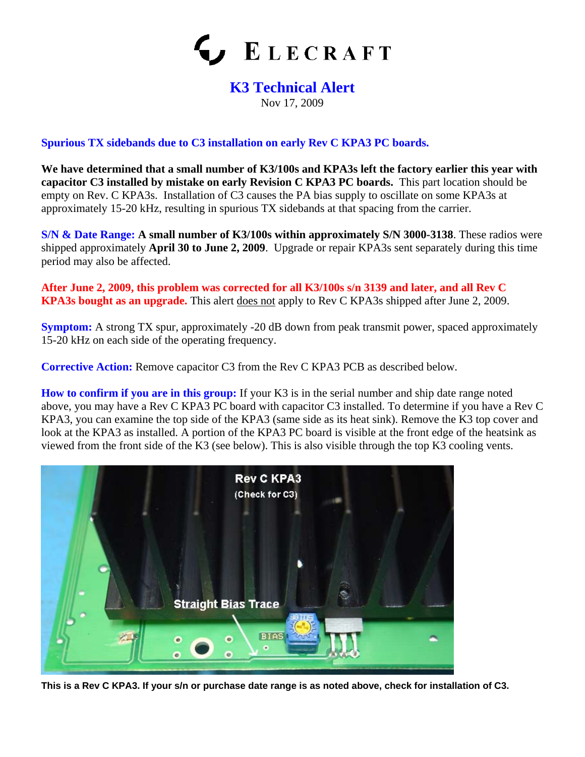

## **K3 Technical Alert**

Nov 17, 2009

## **Spurious TX sidebands due to C3 installation on early Rev C KPA3 PC boards.**

**We have determined that a small number of K3/100s and KPA3s left the factory earlier this year with capacitor C3 installed by mistake on early Revision C KPA3 PC boards.** This part location should be empty on Rev. C KPA3s. Installation of C3 causes the PA bias supply to oscillate on some KPA3s at approximately 15-20 kHz, resulting in spurious TX sidebands at that spacing from the carrier.

**S/N & Date Range: A small number of K3/100s within approximately S/N 3000-3138**. These radios were shipped approximately **April 30 to June 2, 2009**. Upgrade or repair KPA3s sent separately during this time period may also be affected.

**After June 2, 2009, this problem was corrected for all K3/100s s/n 3139 and later, and all Rev C KPA3s bought as an upgrade.** This alert does not apply to Rev C KPA3s shipped after June 2, 2009.

**Symptom:** A strong TX spur, approximately -20 dB down from peak transmit power, spaced approximately 15-20 kHz on each side of the operating frequency.

**Corrective Action:** Remove capacitor C3 from the Rev C KPA3 PCB as described below.

**How to confirm if you are in this group:** If your K3 is in the serial number and ship date range noted above, you may have a Rev C KPA3 PC board with capacitor C3 installed. To determine if you have a Rev C KPA3, you can examine the top side of the KPA3 (same side as its heat sink). Remove the K3 top cover and look at the KPA3 as installed. A portion of the KPA3 PC board is visible at the front edge of the heatsink as viewed from the front side of the K3 (see below). This is also visible through the top K3 cooling vents.



**This is a Rev C KPA3. If your s/n or purchase date range is as noted above, check for installation of C3.**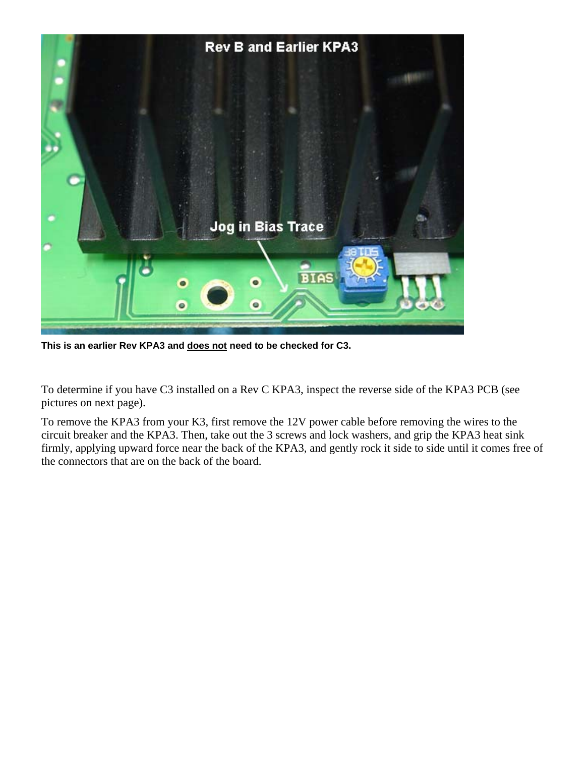

**This is an earlier Rev KPA3 and does not need to be checked for C3.**

To determine if you have C3 installed on a Rev C KPA3, inspect the reverse side of the KPA3 PCB (see pictures on next page).

To remove the KPA3 from your K3, first remove the 12V power cable before removing the wires to the circuit breaker and the KPA3. Then, take out the 3 screws and lock washers, and grip the KPA3 heat sink firmly, applying upward force near the back of the KPA3, and gently rock it side to side until it comes free of the connectors that are on the back of the board.